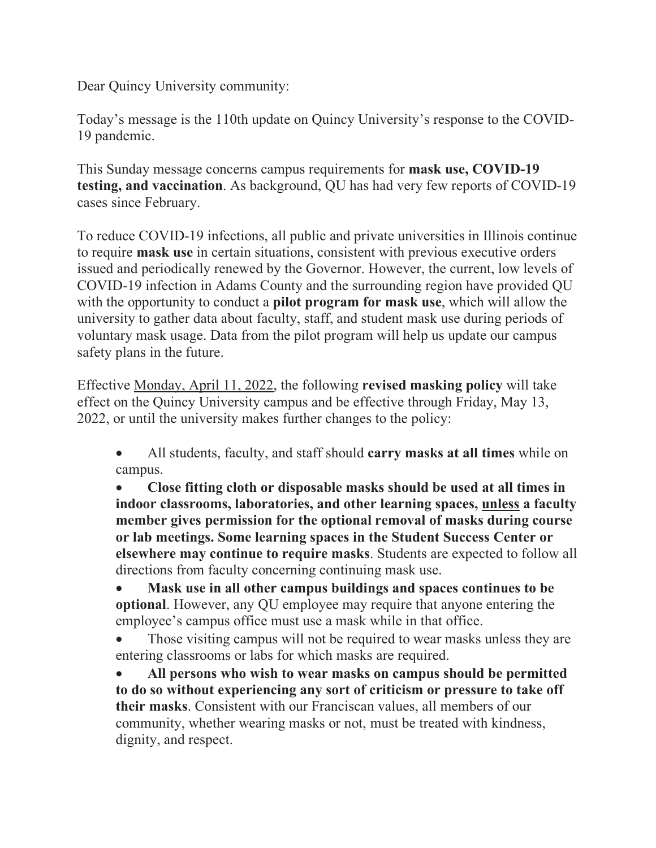Dear Quincy University community:

Today's message is the 110th update on Quincy University's response to the COVID-19 pandemic.

This Sunday message concerns campus requirements for **mask use, COVID-19 testing, and vaccination**. As background, QU has had very few reports of COVID-19 cases since February.

To reduce COVID-19 infections, all public and private universities in Illinois continue to require **mask use** in certain situations, consistent with previous executive orders issued and periodically renewed by the Governor. However, the current, low levels of COVID-19 infection in Adams County and the surrounding region have provided QU with the opportunity to conduct a **pilot program for mask use**, which will allow the university to gather data about faculty, staff, and student mask use during periods of voluntary mask usage. Data from the pilot program will help us update our campus safety plans in the future.

Effective Monday, April 11, 2022, the following **revised masking policy** will take effect on the Quincy University campus and be effective through Friday, May 13, 2022, or until the university makes further changes to the policy:

• All students, faculty, and staff should **carry masks at all times** while on campus.

• **Close fitting cloth or disposable masks should be used at all times in indoor classrooms, laboratories, and other learning spaces, unless a faculty member gives permission for the optional removal of masks during course or lab meetings. Some learning spaces in the Student Success Center or elsewhere may continue to require masks**. Students are expected to follow all directions from faculty concerning continuing mask use.

• **Mask use in all other campus buildings and spaces continues to be optional**. However, any QU employee may require that anyone entering the employee's campus office must use a mask while in that office.

Those visiting campus will not be required to wear masks unless they are entering classrooms or labs for which masks are required.

• **All persons who wish to wear masks on campus should be permitted to do so without experiencing any sort of criticism or pressure to take off their masks**. Consistent with our Franciscan values, all members of our community, whether wearing masks or not, must be treated with kindness, dignity, and respect.